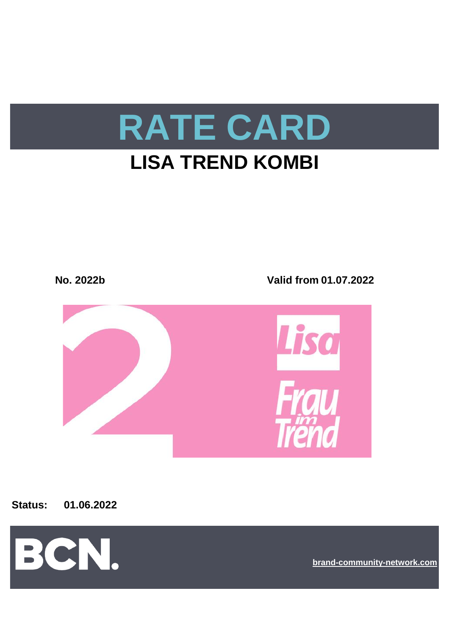



**Status: 01.06.2022**



**[br](https://bcn.burda.com/)and-community-network.com**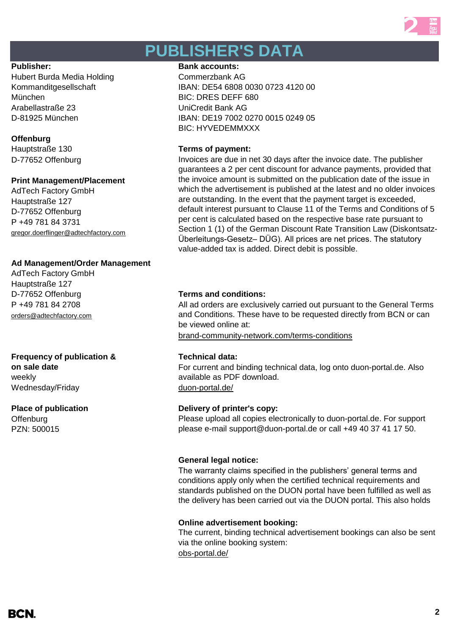

# **PUBLISHER'S DATA**

Hubert Burda Media Holding Commerzbank AG München BIC: DRES DEFF 680 Arabellastraße 23 UniCredit Bank AG

### **Offenburg**

D-77652 Offenburg

### **Print Management/Placement**

AdTech Factory GmbH Hauptstraße 127 D-77652 Offenburg P +49 781 84 3731 [gregor.doerflinger@adtechfactory.com](mailto:gregor.doerflinger@adtechfactory.com)

### **Ad Management/Order Management**

AdTech Factory GmbH Hauptstraße 127 D-77652 Offenburg **Terms and conditions:** P +49 781 84 2708 [orders@adtechfactory.com](mailto:orders@adtechfactory.com)

## **Frequency of publication & Technical data:**

**on sale date** weekly Wednesday/Friday duon-portal.de/

**Offenburg** PZN: 500015

### Publisher: **Bank accounts: Bank accounts: Bank accounts:**

Kommanditgesellschaft IBAN: DE54 6808 0030 0723 4120 00 D-81925 München IBAN: DE19 7002 0270 0015 0249 05 BIC: HYVEDEMMXXX

### Hauptstraße 130 **Terms of payment:**

Invoices are due in net 30 days after the invoice date. The publisher guarantees a 2 per cent discount for advance payments, provided that the invoice amount is submitted on the publication date of the issue in which the advertisement is published at the latest and no older invoices are outstanding. In the event that the payment target is exceeded, default interest pursuant to Clause 11 of the Terms and Conditions of 5 per cent is calculated based on the respective base rate pursuant to Section 1 (1) of the German Discount Rate Transition Law (Diskontsatz-Überleitungs-Gesetz– DÜG). All prices are net prices. The statutory value-added tax is added. Direct debit is possible.

All ad orders are exclusively carried out pursuant to the General Terms and Conditions. These have to be requested directly from BCN or can be viewed online at:

[brand-community-network.com/terms-conditions](https://bcn.burda.com/terms-conditions)

For current and binding technical data, log onto duon-portal.de. Also available as PDF download.

### **Place of publication Delivery of printer's copy:**

Please upload all copies electronically to duon-portal.de. For support please e-mail support@duon-portal.de or call +49 40 37 41 17 50.

### **General legal notice:**

The warranty claims specified in the publishers' general terms and conditions apply only when the certified technical requirements and standards published on the DUON portal have been fulfilled as well as the delivery has been carried out via the DUON portal. This also holds

### **Online advertisement booking:**

[obs-portal.de/](https://www.obs-portal.de/) The current, binding technical advertisement bookings can also be sent via the online booking system:

BCN.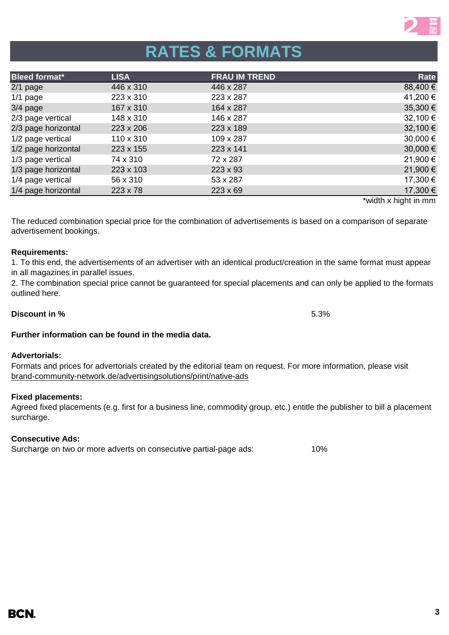# **RATES & FORMATS**

| <b>Bleed format*</b><br><b>FRAU IM TREND</b><br><b>LISA</b> | <b>Rate</b> |
|-------------------------------------------------------------|-------------|
| 446 x 287<br>446 x 310<br>$2/1$ page                        | 88,400 €    |
| $1/1$ page<br>223 x 310<br>223 x 287                        | 41,200€     |
| $3/4$ page<br>167 x 310<br>164 x 287                        | 35,300€     |
| 2/3 page vertical<br>148 x 310<br>146 x 287                 | 32,100€     |
| 2/3 page horizontal<br>223 x 189<br>223 x 206               | 32,100€     |
| 1/2 page vertical<br>110 x 310<br>109 x 287                 | 30,000€     |
| 1/2 page horizontal<br>223 x 141<br>223 x 155               | 30,000€     |
| 1/3 page vertical<br>74 x 310<br>72 x 287                   | 21,900€     |
| 1/3 page horizontal<br>223 x 103<br>223 x 93                | 21,900€     |
| 1/4 page vertical<br>56 x 310<br>53 x 287                   | 17,300 €    |
| 1/4 page horizontal<br>223 x 69<br>$223 \times 78$          | 17,300 €    |

\*width x hight in mm

The reduced combination special price for the combination of advertisements is based on a comparison of separate advertisement bookings.

### **Requirements:**

1. To this end, the advertisements of an advertiser with an identical product/creation in the same format must appear in all magazines in parallel issues.

2. The combination special price cannot be guaranteed for special placements and can only be applied to the formats outlined here.

## **Further information can be found in the media data.**

### **Advertorials:**

Formats and prices for advertorials created by the editorial team on request. For more information, please visit [brand-community-network.d](https://bcn.burda.com/advertisingsolutions/print/native-ads)e/advertisingsolutions/print/native-ads

### **Fixed placements:**

Agreed fixed placements (e.g. first for a business line, commodity group, etc.) entitle the publisher to bill a placement surcharge.

## **Consecutive Ads:**

Surcharge on two or more adverts on consecutive partial-page ads: 10%

### **Discount in %** 5.3%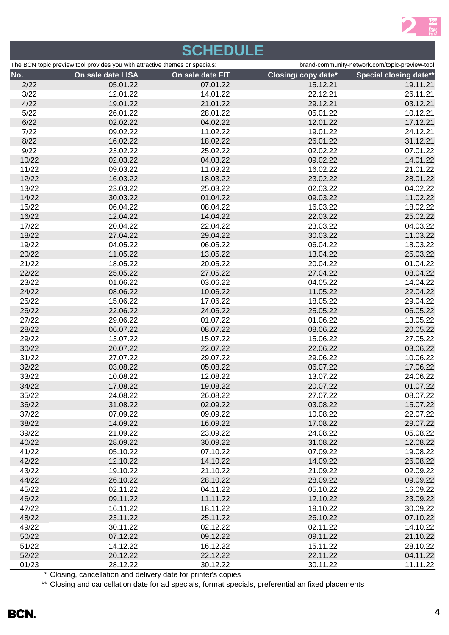

# **SCHEDULE**

| The BCN topic preview tool provides you with attractive themes or specials: |          | brand-community-network.com/topic-preview-tool |                            |                               |
|-----------------------------------------------------------------------------|----------|------------------------------------------------|----------------------------|-------------------------------|
| No.<br>On sale date LISA                                                    |          | On sale date FIT                               | <b>Closing/ copy date*</b> | <b>Special closing date**</b> |
| 2/22                                                                        | 05.01.22 | 07.01.22                                       | 15.12.21                   | 19.11.21                      |
| 3/22                                                                        | 12.01.22 | 14.01.22                                       | 22.12.21                   | 26.11.21                      |
| 4/22                                                                        | 19.01.22 | 21.01.22                                       | 29.12.21                   | 03.12.21                      |
| 5/22                                                                        | 26.01.22 | 28.01.22                                       | 05.01.22                   | 10.12.21                      |
| 6/22                                                                        | 02.02.22 | 04.02.22                                       | 12.01.22                   | 17.12.21                      |
| $7/22$                                                                      | 09.02.22 | 11.02.22                                       | 19.01.22                   | 24.12.21                      |
| 8/22                                                                        | 16.02.22 | 18.02.22                                       | 26.01.22                   | 31.12.21                      |
| 9/22                                                                        | 23.02.22 | 25.02.22                                       | 02.02.22                   | 07.01.22                      |
| 10/22                                                                       | 02.03.22 | 04.03.22                                       | 09.02.22                   | 14.01.22                      |
| 11/22                                                                       | 09.03.22 | 11.03.22                                       | 16.02.22                   | 21.01.22                      |
| 12/22                                                                       | 16.03.22 | 18.03.22                                       | 23.02.22                   | 28.01.22                      |
| 13/22                                                                       | 23.03.22 | 25.03.22                                       | 02.03.22                   | 04.02.22                      |
| 14/22                                                                       | 30.03.22 | 01.04.22                                       | 09.03.22                   | 11.02.22                      |
| 15/22                                                                       | 06.04.22 | 08.04.22                                       | 16.03.22                   | 18.02.22                      |
| 16/22                                                                       | 12.04.22 | 14.04.22                                       | 22.03.22                   | 25.02.22                      |
| 17/22                                                                       | 20.04.22 | 22.04.22                                       | 23.03.22                   | 04.03.22                      |
| 18/22                                                                       | 27.04.22 | 29.04.22                                       | 30.03.22                   | 11.03.22                      |
| 19/22                                                                       | 04.05.22 | 06.05.22                                       | 06.04.22                   | 18.03.22                      |
| 20/22                                                                       | 11.05.22 | 13.05.22                                       | 13.04.22                   | 25.03.22                      |
| 21/22                                                                       | 18.05.22 | 20.05.22                                       | 20.04.22                   | 01.04.22                      |
| 22/22                                                                       | 25.05.22 | 27.05.22                                       | 27.04.22                   | 08.04.22                      |
| 23/22                                                                       | 01.06.22 | 03.06.22                                       | 04.05.22                   | 14.04.22                      |
| 24/22                                                                       | 08.06.22 | 10.06.22                                       | 11.05.22                   | 22.04.22                      |
| 25/22                                                                       | 15.06.22 | 17.06.22                                       | 18.05.22                   | 29.04.22                      |
| 26/22                                                                       | 22.06.22 | 24.06.22                                       | 25.05.22                   | 06.05.22                      |
| 27/22                                                                       | 29.06.22 | 01.07.22                                       | 01.06.22                   | 13.05.22                      |
| 28/22                                                                       | 06.07.22 | 08.07.22                                       | 08.06.22                   | 20.05.22                      |
| 29/22                                                                       | 13.07.22 | 15.07.22                                       | 15.06.22                   | 27.05.22                      |
| 30/22                                                                       | 20.07.22 | 22.07.22                                       | 22.06.22                   | 03.06.22                      |
| 31/22                                                                       | 27.07.22 | 29.07.22                                       | 29.06.22                   | 10.06.22                      |
| 32/22                                                                       | 03.08.22 | 05.08.22                                       | 06.07.22                   | 17.06.22                      |
| 33/22                                                                       | 10.08.22 | 12.08.22                                       | 13.07.22                   | 24.06.22                      |
| 34/22                                                                       | 17.08.22 | 19.08.22                                       | 20.07.22                   | 01.07.22                      |
| 35/22                                                                       | 24.08.22 | 26.08.22                                       | 27.07.22                   | 08.07.22                      |
| 36/22                                                                       | 31.08.22 | 02.09.22                                       | 03.08.22                   | 15.07.22                      |
| 37/22                                                                       | 07.09.22 | 09.09.22                                       | 10.08.22                   | 22.07.22                      |
| 38/22                                                                       | 14.09.22 | 16.09.22                                       | 17.08.22                   | 29.07.22                      |
| 39/22                                                                       | 21.09.22 | 23.09.22                                       | 24.08.22                   | 05.08.22                      |
| 40/22                                                                       | 28.09.22 | 30.09.22                                       | 31.08.22                   | 12.08.22                      |
| 41/22                                                                       | 05.10.22 | 07.10.22                                       | 07.09.22                   | 19.08.22                      |
| 42/22                                                                       | 12.10.22 | 14.10.22                                       | 14.09.22                   | 26.08.22                      |
| 43/22                                                                       | 19.10.22 | 21.10.22                                       | 21.09.22                   | 02.09.22                      |
| 44/22                                                                       | 26.10.22 | 28.10.22                                       | 28.09.22                   | 09.09.22                      |
| 45/22                                                                       | 02.11.22 | 04.11.22                                       | 05.10.22                   | 16.09.22                      |
| 46/22                                                                       | 09.11.22 | 11.11.22                                       | 12.10.22                   | 23.09.22                      |
| 47/22                                                                       | 16.11.22 | 18.11.22                                       | 19.10.22                   | 30.09.22                      |
| 48/22                                                                       | 23.11.22 | 25.11.22                                       | 26.10.22                   | 07.10.22                      |
| 49/22                                                                       | 30.11.22 | 02.12.22                                       | 02.11.22                   | 14.10.22                      |
| 50/22                                                                       | 07.12.22 | 09.12.22                                       | 09.11.22                   | 21.10.22                      |
| 51/22                                                                       | 14.12.22 | 16.12.22                                       | 15.11.22                   | 28.10.22                      |
| 52/22                                                                       | 20.12.22 | 22.12.22                                       | 22.11.22                   | 04.11.22                      |
| 01/23                                                                       | 28.12.22 | 30.12.22                                       | 30.11.22                   | 11.11.22                      |

\* Closing, cancellation and delivery date for printer's copies

\*\* Closing and cancellation date for ad specials, format specials, preferential an fixed placements